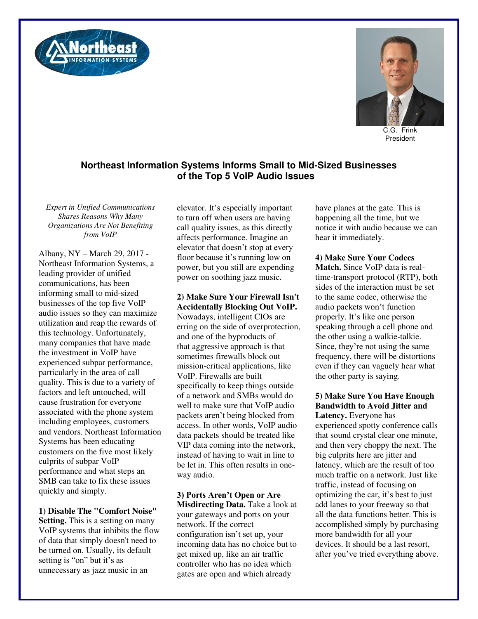



C.G. Frink President

# **Northeast Information Systems Informs Small to Mid-Sized Businesses of the Top 5 VoIP Audio Issues**

*Expert in Unified Communications Shares Reasons Why Many Organizations Are Not Benefiting from VoIP* 

Albany, NY – March 29, 2017 - Northeast Information Systems, a leading provider of unified communications, has been informing small to mid-sized businesses of the top five VoIP audio issues so they can maximize utilization and reap the rewards of this technology. Unfortunately, many companies that have made the investment in VoIP have experienced subpar performance, particularly in the area of call quality. This is due to a variety of factors and left untouched, will cause frustration for everyone associated with the phone system including employees, customers and vendors. Northeast Information Systems has been educating customers on the five most likely culprits of subpar VoIP performance and what steps an SMB can take to fix these issues quickly and simply.

**1) Disable The "Comfort Noise" Setting.** This is a setting on many VoIP systems that inhibits the flow of data that simply doesn't need to be turned on. Usually, its default setting is "on" but it's as unnecessary as jazz music in an

elevator. It's especially important to turn off when users are having call quality issues, as this directly affects performance. Imagine an elevator that doesn't stop at every floor because it's running low on power, but you still are expending power on soothing jazz music.

#### **2) Make Sure Your Firewall Isn't Accidentally Blocking Out VoIP.**

Nowadays, intelligent CIOs are erring on the side of overprotection, and one of the byproducts of that aggressive approach is that sometimes firewalls block out mission-critical applications, like VoIP. Firewalls are built specifically to keep things outside of a network and SMBs would do well to make sure that VoIP audio packets aren't being blocked from access. In other words, VoIP audio data packets should be treated like VIP data coming into the network, instead of having to wait in line to be let in. This often results in oneway audio.

**3) Ports Aren't Open or Are Misdirecting Data.** Take a look at your gateways and ports on your network. If the correct configuration isn't set up, your incoming data has no choice but to get mixed up, like an air traffic controller who has no idea which gates are open and which already

have planes at the gate. This is happening all the time, but we notice it with audio because we can hear it immediately.

### **4) Make Sure Your Codecs**

**Match.** Since VoIP data is realtime-transport protocol (RTP), both sides of the interaction must be set to the same codec, otherwise the audio packets won't function properly. It's like one person speaking through a cell phone and the other using a walkie-talkie. Since, they're not using the same frequency, there will be distortions even if they can vaguely hear what the other party is saying.

# **5) Make Sure You Have Enough Bandwidth to Avoid Jitter and**

**Latency.** Everyone has experienced spotty conference calls that sound crystal clear one minute, and then very choppy the next. The big culprits here are jitter and latency, which are the result of too much traffic on a network. Just like traffic, instead of focusing on optimizing the car, it's best to just add lanes to your freeway so that all the data functions better. This is accomplished simply by purchasing more bandwidth for all your devices. It should be a last resort, after you've tried everything above.